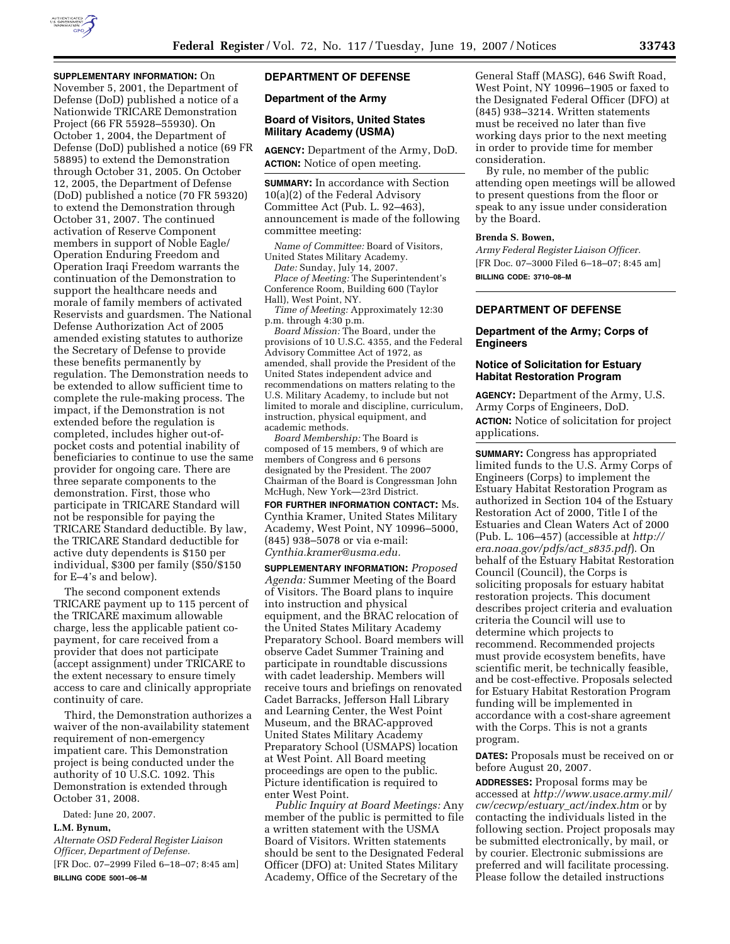

# **SUPPLEMENTARY INFORMATION:** On

November 5, 2001, the Department of Defense (DoD) published a notice of a Nationwide TRICARE Demonstration Project (66 FR 55928–55930). On October 1, 2004, the Department of Defense (DoD) published a notice (69 FR 58895) to extend the Demonstration through October 31, 2005. On October 12, 2005, the Department of Defense (DoD) published a notice (70 FR 59320) to extend the Demonstration through October 31, 2007. The continued activation of Reserve Component members in support of Noble Eagle/ Operation Enduring Freedom and Operation Iraqi Freedom warrants the continuation of the Demonstration to support the healthcare needs and morale of family members of activated Reservists and guardsmen. The National Defense Authorization Act of 2005 amended existing statutes to authorize the Secretary of Defense to provide these benefits permanently by regulation. The Demonstration needs to be extended to allow sufficient time to complete the rule-making process. The impact, if the Demonstration is not extended before the regulation is completed, includes higher out-ofpocket costs and potential inability of beneficiaries to continue to use the same provider for ongoing care. There are three separate components to the demonstration. First, those who participate in TRICARE Standard will not be responsible for paying the TRICARE Standard deductible. By law, the TRICARE Standard deductible for active duty dependents is \$150 per individual, \$300 per family (\$50/\$150 for E–4's and below).

The second component extends TRICARE payment up to 115 percent of the TRICARE maximum allowable charge, less the applicable patient copayment, for care received from a provider that does not participate (accept assignment) under TRICARE to the extent necessary to ensure timely access to care and clinically appropriate continuity of care.

Third, the Demonstration authorizes a waiver of the non-availability statement requirement of non-emergency impatient care. This Demonstration project is being conducted under the authority of 10 U.S.C. 1092. This Demonstration is extended through October 31, 2008.

Dated: June 20, 2007.

## **L.M. Bynum,**

*Alternate OSD Federal Register Liaison Officer, Department of Defense.*  [FR Doc. 07–2999 Filed 6–18–07; 8:45 am] **BILLING CODE 5001–06–M** 

# **DEPARTMENT OF DEFENSE**

#### **Department of the Army**

## **Board of Visitors, United States Military Academy (USMA)**

**AGENCY:** Department of the Army, DoD. **ACTION:** Notice of open meeting.

**SUMMARY:** In accordance with Section 10(a)(2) of the Federal Advisory Committee Act (Pub. L. 92–463), announcement is made of the following committee meeting:

*Name of Committee:* Board of Visitors, United States Military Academy.

*Date:* Sunday, July 14, 2007.

*Place of Meeting:* The Superintendent's Conference Room, Building 600 (Taylor Hall), West Point, NY.

*Time of Meeting:* Approximately 12:30 p.m. through 4:30 p.m.

*Board Mission:* The Board, under the provisions of 10 U.S.C. 4355, and the Federal Advisory Committee Act of 1972, as amended, shall provide the President of the United States independent advice and recommendations on matters relating to the U.S. Military Academy, to include but not limited to morale and discipline, curriculum, instruction, physical equipment, and academic methods.

*Board Membership:* The Board is composed of 15 members, 9 of which are members of Congress and 6 persons designated by the President. The 2007 Chairman of the Board is Congressman John McHugh, New York—23rd District.

**FOR FURTHER INFORMATION CONTACT:** Ms. Cynthia Kramer, United States Military Academy, West Point, NY 10996–5000, (845) 938–5078 or via e-mail: *Cynthia.kramer@usma.edu.* 

**SUPPLEMENTARY INFORMATION:** *Proposed Agenda:* Summer Meeting of the Board of Visitors. The Board plans to inquire into instruction and physical equipment, and the BRAC relocation of the United States Military Academy Preparatory School. Board members will observe Cadet Summer Training and participate in roundtable discussions with cadet leadership. Members will receive tours and briefings on renovated Cadet Barracks, Jefferson Hall Library and Learning Center, the West Point Museum, and the BRAC-approved United States Military Academy Preparatory School (USMAPS) location at West Point. All Board meeting proceedings are open to the public. Picture identification is required to enter West Point.

*Public Inquiry at Board Meetings:* Any member of the public is permitted to file a written statement with the USMA Board of Visitors. Written statements should be sent to the Designated Federal Officer (DFO) at: United States Military Academy, Office of the Secretary of the

General Staff (MASG), 646 Swift Road, West Point, NY 10996–1905 or faxed to the Designated Federal Officer (DFO) at (845) 938–3214. Written statements must be received no later than five working days prior to the next meeting in order to provide time for member consideration.

By rule, no member of the public attending open meetings will be allowed to present questions from the floor or speak to any issue under consideration by the Board.

#### **Brenda S. Bowen,**

*Army Federal Register Liaison Officer.*  [FR Doc. 07–3000 Filed 6–18–07; 8:45 am] **BILLING CODE: 3710–08–M** 

# **DEPARTMENT OF DEFENSE**

**Department of the Army; Corps of Engineers** 

## **Notice of Solicitation for Estuary Habitat Restoration Program**

**AGENCY:** Department of the Army, U.S. Army Corps of Engineers, DoD. **ACTION:** Notice of solicitation for project applications.

**SUMMARY:** Congress has appropriated limited funds to the U.S. Army Corps of Engineers (Corps) to implement the Estuary Habitat Restoration Program as authorized in Section 104 of the Estuary Restoration Act of 2000, Title I of the Estuaries and Clean Waters Act of 2000 (Pub. L. 106–457) (accessible at *http:// era.noaa.gov/pdfs/act*\_*s835.pdf*). On behalf of the Estuary Habitat Restoration Council (Council), the Corps is soliciting proposals for estuary habitat restoration projects. This document describes project criteria and evaluation criteria the Council will use to determine which projects to recommend. Recommended projects must provide ecosystem benefits, have scientific merit, be technically feasible, and be cost-effective. Proposals selected for Estuary Habitat Restoration Program funding will be implemented in accordance with a cost-share agreement with the Corps. This is not a grants program.

**DATES:** Proposals must be received on or before August 20, 2007.

**ADDRESSES:** Proposal forms may be accessed at *http://www.usace.army.mil/ cw/cecwp/estuary*\_*act/index.htm* or by contacting the individuals listed in the following section. Project proposals may be submitted electronically, by mail, or by courier. Electronic submissions are preferred and will facilitate processing. Please follow the detailed instructions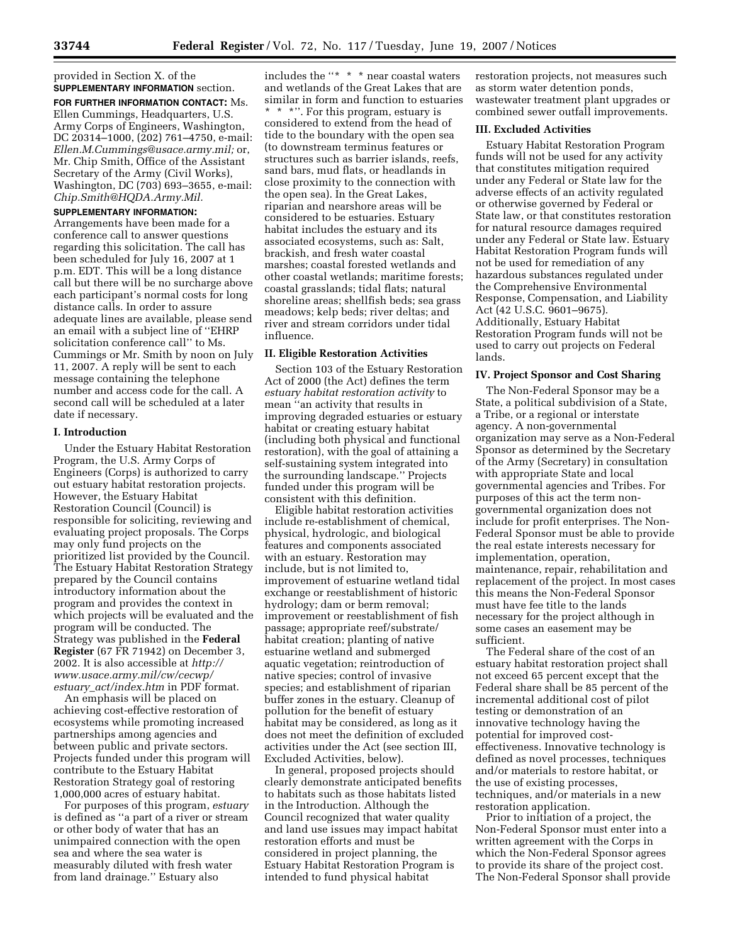#### provided in Section X. of the **SUPPLEMENTARY INFORMATION** section.

**FOR FURTHER INFORMATION CONTACT:** Ms. Ellen Cummings, Headquarters, U.S. Army Corps of Engineers, Washington, DC 20314–1000, (202) 761–4750, e-mail: *Ellen.M.Cummings@usace.army.mil;* or, Mr. Chip Smith, Office of the Assistant Secretary of the Army (Civil Works), Washington, DC (703) 693–3655, e-mail: *Chip.Smith@HQDA.Army.Mil.* 

# **SUPPLEMENTARY INFORMATION:**

Arrangements have been made for a conference call to answer questions regarding this solicitation. The call has been scheduled for July 16, 2007 at 1 p.m. EDT. This will be a long distance call but there will be no surcharge above each participant's normal costs for long distance calls. In order to assure adequate lines are available, please send an email with a subject line of ''EHRP solicitation conference call'' to Ms. Cummings or Mr. Smith by noon on July 11, 2007. A reply will be sent to each message containing the telephone number and access code for the call. A second call will be scheduled at a later date if necessary.

## **I. Introduction**

Under the Estuary Habitat Restoration Program, the U.S. Army Corps of Engineers (Corps) is authorized to carry out estuary habitat restoration projects. However, the Estuary Habitat Restoration Council (Council) is responsible for soliciting, reviewing and evaluating project proposals. The Corps may only fund projects on the prioritized list provided by the Council. The Estuary Habitat Restoration Strategy prepared by the Council contains introductory information about the program and provides the context in which projects will be evaluated and the program will be conducted. The Strategy was published in the **Federal Register** (67 FR 71942) on December 3, 2002. It is also accessible at *http:// www.usace.army.mil/cw/cecwp/ estuary*\_*act/index.htm* in PDF format.

An emphasis will be placed on achieving cost-effective restoration of ecosystems while promoting increased partnerships among agencies and between public and private sectors. Projects funded under this program will contribute to the Estuary Habitat Restoration Strategy goal of restoring 1,000,000 acres of estuary habitat.

For purposes of this program, *estuary*  is defined as ''a part of a river or stream or other body of water that has an unimpaired connection with the open sea and where the sea water is measurably diluted with fresh water from land drainage.'' Estuary also

includes the ''\* \* \* near coastal waters and wetlands of the Great Lakes that are similar in form and function to estuaries \*\*\*''. For this program, estuary is considered to extend from the head of tide to the boundary with the open sea (to downstream terminus features or structures such as barrier islands, reefs, sand bars, mud flats, or headlands in close proximity to the connection with the open sea). In the Great Lakes, riparian and nearshore areas will be considered to be estuaries. Estuary habitat includes the estuary and its associated ecosystems, such as: Salt, brackish, and fresh water coastal marshes; coastal forested wetlands and other coastal wetlands; maritime forests; coastal grasslands; tidal flats; natural shoreline areas; shellfish beds; sea grass meadows; kelp beds; river deltas; and river and stream corridors under tidal influence.

## **II. Eligible Restoration Activities**

Section 103 of the Estuary Restoration Act of 2000 (the Act) defines the term *estuary habitat restoration activity* to mean ''an activity that results in improving degraded estuaries or estuary habitat or creating estuary habitat (including both physical and functional restoration), with the goal of attaining a self-sustaining system integrated into the surrounding landscape.'' Projects funded under this program will be consistent with this definition.

Eligible habitat restoration activities include re-establishment of chemical, physical, hydrologic, and biological features and components associated with an estuary. Restoration may include, but is not limited to, improvement of estuarine wetland tidal exchange or reestablishment of historic hydrology; dam or berm removal; improvement or reestablishment of fish passage; appropriate reef/substrate/ habitat creation; planting of native estuarine wetland and submerged aquatic vegetation; reintroduction of native species; control of invasive species; and establishment of riparian buffer zones in the estuary. Cleanup of pollution for the benefit of estuary habitat may be considered, as long as it does not meet the definition of excluded activities under the Act (see section III, Excluded Activities, below).

In general, proposed projects should clearly demonstrate anticipated benefits to habitats such as those habitats listed in the Introduction. Although the Council recognized that water quality and land use issues may impact habitat restoration efforts and must be considered in project planning, the Estuary Habitat Restoration Program is intended to fund physical habitat

restoration projects, not measures such as storm water detention ponds, wastewater treatment plant upgrades or combined sewer outfall improvements.

## **III. Excluded Activities**

Estuary Habitat Restoration Program funds will not be used for any activity that constitutes mitigation required under any Federal or State law for the adverse effects of an activity regulated or otherwise governed by Federal or State law, or that constitutes restoration for natural resource damages required under any Federal or State law. Estuary Habitat Restoration Program funds will not be used for remediation of any hazardous substances regulated under the Comprehensive Environmental Response, Compensation, and Liability Act (42 U.S.C. 9601–9675). Additionally, Estuary Habitat Restoration Program funds will not be used to carry out projects on Federal lands.

### **IV. Project Sponsor and Cost Sharing**

The Non-Federal Sponsor may be a State, a political subdivision of a State, a Tribe, or a regional or interstate agency. A non-governmental organization may serve as a Non-Federal Sponsor as determined by the Secretary of the Army (Secretary) in consultation with appropriate State and local governmental agencies and Tribes. For purposes of this act the term nongovernmental organization does not include for profit enterprises. The Non-Federal Sponsor must be able to provide the real estate interests necessary for implementation, operation, maintenance, repair, rehabilitation and replacement of the project. In most cases this means the Non-Federal Sponsor must have fee title to the lands necessary for the project although in some cases an easement may be sufficient.

The Federal share of the cost of an estuary habitat restoration project shall not exceed 65 percent except that the Federal share shall be 85 percent of the incremental additional cost of pilot testing or demonstration of an innovative technology having the potential for improved costeffectiveness. Innovative technology is defined as novel processes, techniques and/or materials to restore habitat, or the use of existing processes, techniques, and/or materials in a new restoration application.

Prior to initiation of a project, the Non-Federal Sponsor must enter into a written agreement with the Corps in which the Non-Federal Sponsor agrees to provide its share of the project cost. The Non-Federal Sponsor shall provide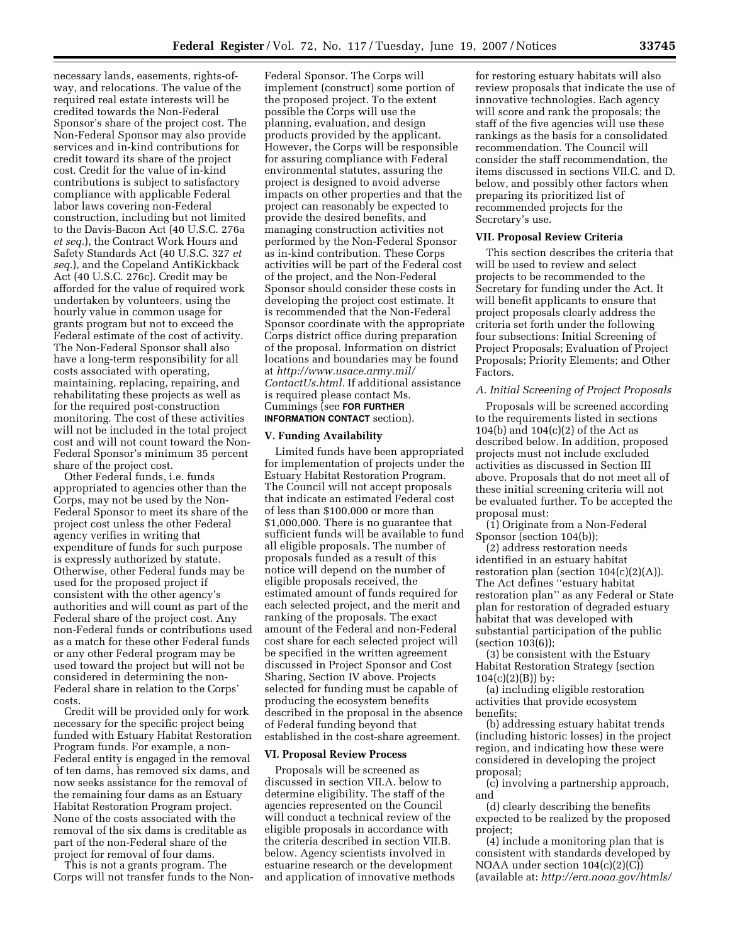necessary lands, easements, rights-ofway, and relocations. The value of the required real estate interests will be credited towards the Non-Federal Sponsor's share of the project cost. The Non-Federal Sponsor may also provide services and in-kind contributions for credit toward its share of the project cost. Credit for the value of in-kind contributions is subject to satisfactory compliance with applicable Federal labor laws covering non-Federal construction, including but not limited to the Davis-Bacon Act (40 U.S.C. 276a *et seq.*), the Contract Work Hours and Safety Standards Act (40 U.S.C. 327 *et seq.*), and the Copeland AntiKickback Act (40 U.S.C. 276c). Credit may be afforded for the value of required work undertaken by volunteers, using the hourly value in common usage for grants program but not to exceed the Federal estimate of the cost of activity. The Non-Federal Sponsor shall also have a long-term responsibility for all costs associated with operating, maintaining, replacing, repairing, and rehabilitating these projects as well as for the required post-construction monitoring. The cost of these activities will not be included in the total project cost and will not count toward the Non-Federal Sponsor's minimum 35 percent share of the project cost.

Other Federal funds, i.e. funds appropriated to agencies other than the Corps, may not be used by the Non-Federal Sponsor to meet its share of the project cost unless the other Federal agency verifies in writing that expenditure of funds for such purpose is expressly authorized by statute. Otherwise, other Federal funds may be used for the proposed project if consistent with the other agency's authorities and will count as part of the Federal share of the project cost. Any non-Federal funds or contributions used as a match for these other Federal funds or any other Federal program may be used toward the project but will not be considered in determining the non-Federal share in relation to the Corps' costs.

Credit will be provided only for work necessary for the specific project being funded with Estuary Habitat Restoration Program funds. For example, a non-Federal entity is engaged in the removal of ten dams, has removed six dams, and now seeks assistance for the removal of the remaining four dams as an Estuary Habitat Restoration Program project. None of the costs associated with the removal of the six dams is creditable as part of the non-Federal share of the project for removal of four dams.

This is not a grants program. The Corps will not transfer funds to the NonFederal Sponsor. The Corps will implement (construct) some portion of the proposed project. To the extent possible the Corps will use the planning, evaluation, and design products provided by the applicant. However, the Corps will be responsible for assuring compliance with Federal environmental statutes, assuring the project is designed to avoid adverse impacts on other properties and that the project can reasonably be expected to provide the desired benefits, and managing construction activities not performed by the Non-Federal Sponsor as in-kind contribution. These Corps activities will be part of the Federal cost of the project, and the Non-Federal Sponsor should consider these costs in developing the project cost estimate. It is recommended that the Non-Federal Sponsor coordinate with the appropriate Corps district office during preparation of the proposal. Information on district locations and boundaries may be found at *http://www.usace.army.mil/ ContactUs.html.* If additional assistance is required please contact Ms. Cummings (see **FOR FURTHER INFORMATION CONTACT** section).

## **V. Funding Availability**

Limited funds have been appropriated for implementation of projects under the Estuary Habitat Restoration Program. The Council will not accept proposals that indicate an estimated Federal cost of less than \$100,000 or more than \$1,000,000. There is no guarantee that sufficient funds will be available to fund all eligible proposals. The number of proposals funded as a result of this notice will depend on the number of eligible proposals received, the estimated amount of funds required for each selected project, and the merit and ranking of the proposals. The exact amount of the Federal and non-Federal cost share for each selected project will be specified in the written agreement discussed in Project Sponsor and Cost Sharing, Section IV above. Projects selected for funding must be capable of producing the ecosystem benefits described in the proposal in the absence of Federal funding beyond that established in the cost-share agreement.

#### **VI. Proposal Review Process**

Proposals will be screened as discussed in section VII.A. below to determine eligibility. The staff of the agencies represented on the Council will conduct a technical review of the eligible proposals in accordance with the criteria described in section VII.B. below. Agency scientists involved in estuarine research or the development and application of innovative methods for restoring estuary habitats will also review proposals that indicate the use of innovative technologies. Each agency will score and rank the proposals; the staff of the five agencies will use these rankings as the basis for a consolidated recommendation. The Council will consider the staff recommendation, the items discussed in sections VII.C. and D. below, and possibly other factors when preparing its prioritized list of recommended projects for the Secretary's use.

## **VII. Proposal Review Criteria**

This section describes the criteria that will be used to review and select projects to be recommended to the Secretary for funding under the Act. It will benefit applicants to ensure that project proposals clearly address the criteria set forth under the following four subsections: Initial Screening of Project Proposals; Evaluation of Project Proposals; Priority Elements; and Other Factors.

## *A. Initial Screening of Project Proposals*

Proposals will be screened according to the requirements listed in sections 104(b) and 104(c)(2) of the Act as described below. In addition, proposed projects must not include excluded activities as discussed in Section III above. Proposals that do not meet all of these initial screening criteria will not be evaluated further. To be accepted the proposal must:

(1) Originate from a Non-Federal Sponsor (section 104(b));

(2) address restoration needs identified in an estuary habitat restoration plan (section  $104(c)(2)(A)$ ). The Act defines ''estuary habitat restoration plan'' as any Federal or State plan for restoration of degraded estuary habitat that was developed with substantial participation of the public (section 103(6));

(3) be consistent with the Estuary Habitat Restoration Strategy (section  $104(c)(2)(B)$ ) by:

(a) including eligible restoration activities that provide ecosystem benefits;

(b) addressing estuary habitat trends (including historic losses) in the project region, and indicating how these were considered in developing the project proposal;

(c) involving a partnership approach, and

(d) clearly describing the benefits expected to be realized by the proposed project;

(4) include a monitoring plan that is consistent with standards developed by NOAA under section 104(c)(2)(C)) (available at: *http://era.noaa.gov/htmls/*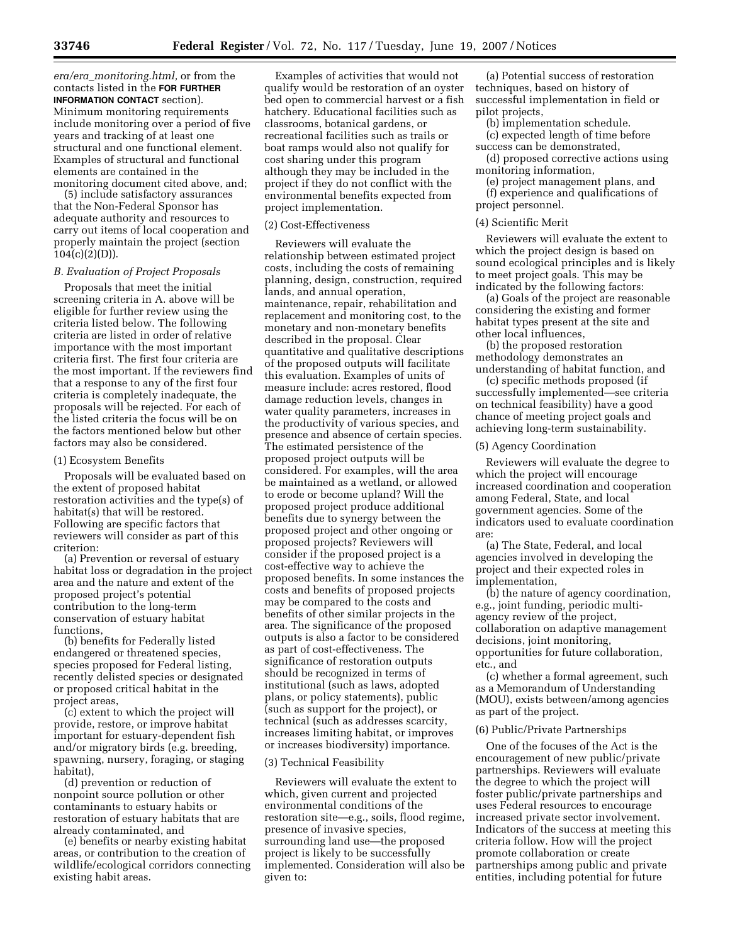*era/era*\_*monitoring.html,* or from the contacts listed in the **FOR FURTHER INFORMATION CONTACT** section). Minimum monitoring requirements include monitoring over a period of five years and tracking of at least one structural and one functional element. Examples of structural and functional elements are contained in the monitoring document cited above, and;

(5) include satisfactory assurances that the Non-Federal Sponsor has adequate authority and resources to carry out items of local cooperation and properly maintain the project (section  $104(c)(2)(D)).$ 

#### *B. Evaluation of Project Proposals*

Proposals that meet the initial screening criteria in A. above will be eligible for further review using the criteria listed below. The following criteria are listed in order of relative importance with the most important criteria first. The first four criteria are the most important. If the reviewers find that a response to any of the first four criteria is completely inadequate, the proposals will be rejected. For each of the listed criteria the focus will be on the factors mentioned below but other factors may also be considered.

#### (1) Ecosystem Benefits

Proposals will be evaluated based on the extent of proposed habitat restoration activities and the type(s) of habitat(s) that will be restored. Following are specific factors that reviewers will consider as part of this criterion:

(a) Prevention or reversal of estuary habitat loss or degradation in the project area and the nature and extent of the proposed project's potential contribution to the long-term conservation of estuary habitat functions,

(b) benefits for Federally listed endangered or threatened species, species proposed for Federal listing, recently delisted species or designated or proposed critical habitat in the project areas,

(c) extent to which the project will provide, restore, or improve habitat important for estuary-dependent fish and/or migratory birds (e.g. breeding, spawning, nursery, foraging, or staging habitat),

(d) prevention or reduction of nonpoint source pollution or other contaminants to estuary habits or restoration of estuary habitats that are already contaminated, and

(e) benefits or nearby existing habitat areas, or contribution to the creation of wildlife/ecological corridors connecting existing habit areas.

Examples of activities that would not qualify would be restoration of an oyster bed open to commercial harvest or a fish hatchery. Educational facilities such as classrooms, botanical gardens, or recreational facilities such as trails or boat ramps would also not qualify for cost sharing under this program although they may be included in the project if they do not conflict with the environmental benefits expected from project implementation.

#### (2) Cost-Effectiveness

Reviewers will evaluate the relationship between estimated project costs, including the costs of remaining planning, design, construction, required lands, and annual operation, maintenance, repair, rehabilitation and replacement and monitoring cost, to the monetary and non-monetary benefits described in the proposal. Clear quantitative and qualitative descriptions of the proposed outputs will facilitate this evaluation. Examples of units of measure include: acres restored, flood damage reduction levels, changes in water quality parameters, increases in the productivity of various species, and presence and absence of certain species. The estimated persistence of the proposed project outputs will be considered. For examples, will the area be maintained as a wetland, or allowed to erode or become upland? Will the proposed project produce additional benefits due to synergy between the proposed project and other ongoing or proposed projects? Reviewers will consider if the proposed project is a cost-effective way to achieve the proposed benefits. In some instances the costs and benefits of proposed projects may be compared to the costs and benefits of other similar projects in the area. The significance of the proposed outputs is also a factor to be considered as part of cost-effectiveness. The significance of restoration outputs should be recognized in terms of institutional (such as laws, adopted plans, or policy statements), public (such as support for the project), or technical (such as addresses scarcity, increases limiting habitat, or improves or increases biodiversity) importance.

#### (3) Technical Feasibility

Reviewers will evaluate the extent to which, given current and projected environmental conditions of the restoration site—e.g., soils, flood regime, presence of invasive species, surrounding land use—the proposed project is likely to be successfully implemented. Consideration will also be given to:

(a) Potential success of restoration techniques, based on history of successful implementation in field or pilot projects,

(b) implementation schedule. (c) expected length of time before success can be demonstrated,

(d) proposed corrective actions using monitoring information,

(e) project management plans, and (f) experience and qualifications of project personnel.

#### (4) Scientific Merit

Reviewers will evaluate the extent to which the project design is based on sound ecological principles and is likely to meet project goals. This may be indicated by the following factors:

(a) Goals of the project are reasonable considering the existing and former habitat types present at the site and other local influences,

(b) the proposed restoration methodology demonstrates an understanding of habitat function, and

(c) specific methods proposed (if successfully implemented—see criteria on technical feasibility) have a good chance of meeting project goals and achieving long-term sustainability.

### (5) Agency Coordination

Reviewers will evaluate the degree to which the project will encourage increased coordination and cooperation among Federal, State, and local government agencies. Some of the indicators used to evaluate coordination are:

(a) The State, Federal, and local agencies involved in developing the project and their expected roles in implementation,

(b) the nature of agency coordination, e.g., joint funding, periodic multiagency review of the project, collaboration on adaptive management decisions, joint monitoring, opportunities for future collaboration, etc., and

(c) whether a formal agreement, such as a Memorandum of Understanding (MOU), exists between/among agencies as part of the project.

### (6) Public/Private Partnerships

One of the focuses of the Act is the encouragement of new public/private partnerships. Reviewers will evaluate the degree to which the project will foster public/private partnerships and uses Federal resources to encourage increased private sector involvement. Indicators of the success at meeting this criteria follow. How will the project promote collaboration or create partnerships among public and private entities, including potential for future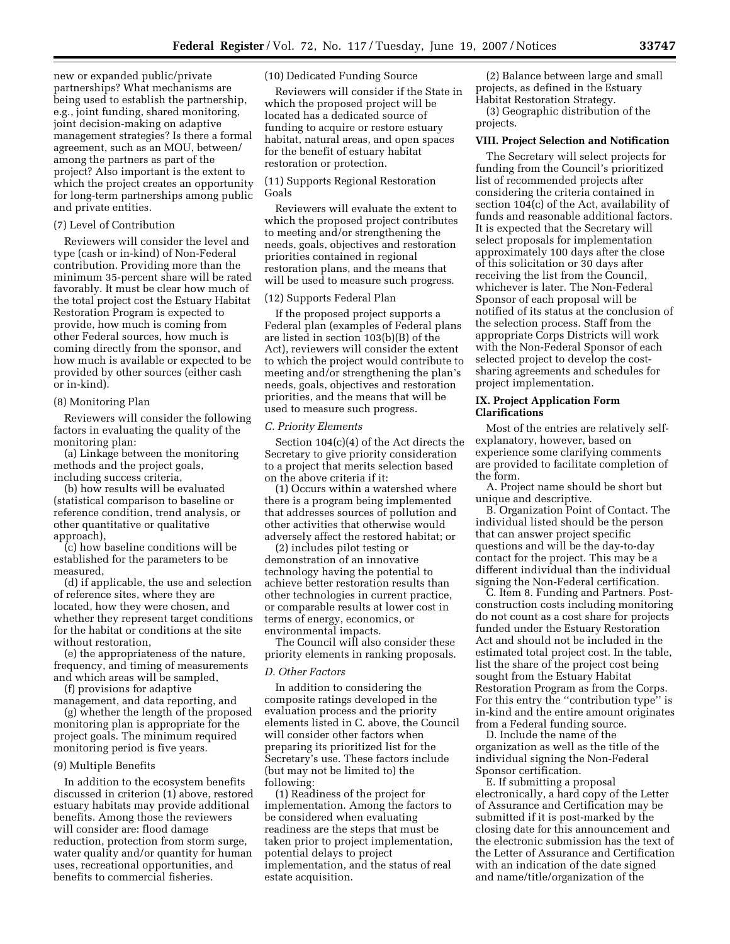new or expanded public/private partnerships? What mechanisms are being used to establish the partnership, e.g., joint funding, shared monitoring, joint decision-making on adaptive management strategies? Is there a formal agreement, such as an MOU, between/ among the partners as part of the project? Also important is the extent to which the project creates an opportunity for long-term partnerships among public and private entities.

#### (7) Level of Contribution

Reviewers will consider the level and type (cash or in-kind) of Non-Federal contribution. Providing more than the minimum 35-percent share will be rated favorably. It must be clear how much of the total project cost the Estuary Habitat Restoration Program is expected to provide, how much is coming from other Federal sources, how much is coming directly from the sponsor, and how much is available or expected to be provided by other sources (either cash or in-kind).

#### (8) Monitoring Plan

Reviewers will consider the following factors in evaluating the quality of the monitoring plan:

(a) Linkage between the monitoring methods and the project goals, including success criteria,

(b) how results will be evaluated (statistical comparison to baseline or reference condition, trend analysis, or other quantitative or qualitative approach),

(c) how baseline conditions will be established for the parameters to be measured,

(d) if applicable, the use and selection of reference sites, where they are located, how they were chosen, and whether they represent target conditions for the habitat or conditions at the site without restoration,

(e) the appropriateness of the nature, frequency, and timing of measurements and which areas will be sampled,

(f) provisions for adaptive

management, and data reporting, and (g) whether the length of the proposed

monitoring plan is appropriate for the project goals. The minimum required monitoring period is five years.

## (9) Multiple Benefits

In addition to the ecosystem benefits discussed in criterion (1) above, restored estuary habitats may provide additional benefits. Among those the reviewers will consider are: flood damage reduction, protection from storm surge, water quality and/or quantity for human uses, recreational opportunities, and benefits to commercial fisheries.

(10) Dedicated Funding Source

Reviewers will consider if the State in which the proposed project will be located has a dedicated source of funding to acquire or restore estuary habitat, natural areas, and open spaces for the benefit of estuary habitat restoration or protection.

(11) Supports Regional Restoration Goals

Reviewers will evaluate the extent to which the proposed project contributes to meeting and/or strengthening the needs, goals, objectives and restoration priorities contained in regional restoration plans, and the means that will be used to measure such progress.

#### (12) Supports Federal Plan

If the proposed project supports a Federal plan (examples of Federal plans are listed in section 103(b)(B) of the Act), reviewers will consider the extent to which the project would contribute to meeting and/or strengthening the plan's needs, goals, objectives and restoration priorities, and the means that will be used to measure such progress.

### *C. Priority Elements*

Section 104(c)(4) of the Act directs the Secretary to give priority consideration to a project that merits selection based on the above criteria if it:

(1) Occurs within a watershed where there is a program being implemented that addresses sources of pollution and other activities that otherwise would adversely affect the restored habitat; or

(2) includes pilot testing or demonstration of an innovative technology having the potential to achieve better restoration results than other technologies in current practice, or comparable results at lower cost in terms of energy, economics, or environmental impacts.

The Council will also consider these priority elements in ranking proposals.

### *D. Other Factors*

In addition to considering the composite ratings developed in the evaluation process and the priority elements listed in C. above, the Council will consider other factors when preparing its prioritized list for the Secretary's use. These factors include (but may not be limited to) the following:

(1) Readiness of the project for implementation. Among the factors to be considered when evaluating readiness are the steps that must be taken prior to project implementation, potential delays to project implementation, and the status of real estate acquisition.

(2) Balance between large and small projects, as defined in the Estuary Habitat Restoration Strategy.

(3) Geographic distribution of the projects.

## **VIII. Project Selection and Notification**

The Secretary will select projects for funding from the Council's prioritized list of recommended projects after considering the criteria contained in section 104(c) of the Act, availability of funds and reasonable additional factors. It is expected that the Secretary will select proposals for implementation approximately 100 days after the close of this solicitation or 30 days after receiving the list from the Council, whichever is later. The Non-Federal Sponsor of each proposal will be notified of its status at the conclusion of the selection process. Staff from the appropriate Corps Districts will work with the Non-Federal Sponsor of each selected project to develop the costsharing agreements and schedules for project implementation.

#### **IX. Project Application Form Clarifications**

Most of the entries are relatively selfexplanatory, however, based on experience some clarifying comments are provided to facilitate completion of the form.

A. Project name should be short but unique and descriptive.

B. Organization Point of Contact. The individual listed should be the person that can answer project specific questions and will be the day-to-day contact for the project. This may be a different individual than the individual signing the Non-Federal certification.

C. Item 8. Funding and Partners. Postconstruction costs including monitoring do not count as a cost share for projects funded under the Estuary Restoration Act and should not be included in the estimated total project cost. In the table, list the share of the project cost being sought from the Estuary Habitat Restoration Program as from the Corps. For this entry the ''contribution type'' is in-kind and the entire amount originates from a Federal funding source.

D. Include the name of the organization as well as the title of the individual signing the Non-Federal Sponsor certification.

E. If submitting a proposal electronically, a hard copy of the Letter of Assurance and Certification may be submitted if it is post-marked by the closing date for this announcement and the electronic submission has the text of the Letter of Assurance and Certification with an indication of the date signed and name/title/organization of the